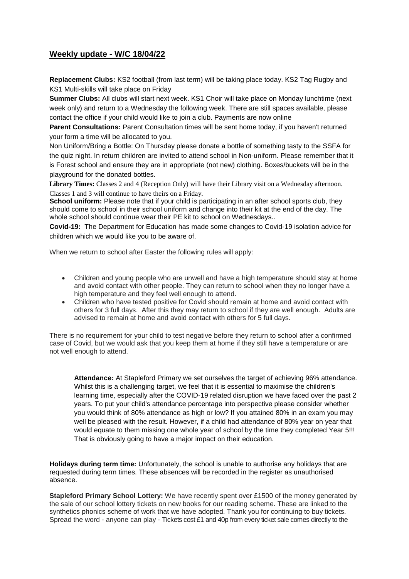## **Weekly update - W/C 18/04/22**

**Replacement Clubs:** KS2 football (from last term) will be taking place today. KS2 Tag Rugby and KS1 Multi-skills will take place on Friday

**Summer Clubs:** All clubs will start next week. KS1 Choir will take place on Monday lunchtime (next week only) and return to a Wednesday the following week. There are still spaces available, please contact the office if your child would like to join a club. Payments are now online

**Parent Consultations:** Parent Consultation times will be sent home today, if you haven't returned your form a time will be allocated to you.

Non Uniform/Bring a Bottle: On Thursday please donate a bottle of something tasty to the SSFA for the quiz night. In return children are invited to attend school in Non-uniform. Please remember that it is Forest school and ensure they are in appropriate (not new) clothing. Boxes/buckets will be in the playground for the donated bottles.

**Library Times:** Classes 2 and 4 (Reception Only) will have their Library visit on a Wednesday afternoon. Classes 1 and 3 will continue to have theirs on a Friday.

**School uniform:** Please note that if your child is participating in an after school sports club, they should come to school in their school uniform and change into their kit at the end of the day. The whole school should continue wear their PE kit to school on Wednesdays..

**Covid-19:** The Department for Education has made some changes to Covid-19 isolation advice for children which we would like you to be aware of.

When we return to school after Easter the following rules will apply:

- Children and young people who are unwell and have a high temperature should stay at home and avoid contact with other people. They can return to school when they no longer have a high temperature and they feel well enough to attend.
- Children who have tested positive for Covid should remain at home and avoid contact with others for 3 full days. After this they may return to school if they are well enough. Adults are advised to remain at home and avoid contact with others for 5 full days.

There is no requirement for your child to test negative before they return to school after a confirmed case of Covid, but we would ask that you keep them at home if they still have a temperature or are not well enough to attend.

**Attendance:** At Stapleford Primary we set ourselves the target of achieving 96% attendance. Whilst this is a challenging target, we feel that it is essential to maximise the children's learning time, especially after the COVID-19 related disruption we have faced over the past 2 years. To put your child's attendance percentage into perspective please consider whether you would think of 80% attendance as high or low? If you attained 80% in an exam you may well be pleased with the result. However, if a child had attendance of 80% year on year that would equate to them missing one whole year of school by the time they completed Year 5!!! That is obviously going to have a major impact on their education.

**Holidays during term time:** Unfortunately, the school is unable to authorise any holidays that are requested during term times. These absences will be recorded in the register as unauthorised absence.

**Stapleford Primary School Lottery:** We have recently spent over £1500 of the money generated by the sale of our school lottery tickets on new books for our reading scheme. These are linked to the synthetics phonics scheme of work that we have adopted. Thank you for continuing to buy tickets. Spread the word - anyone can play - Tickets cost £1 and 40p from every ticket sale comes directly to the